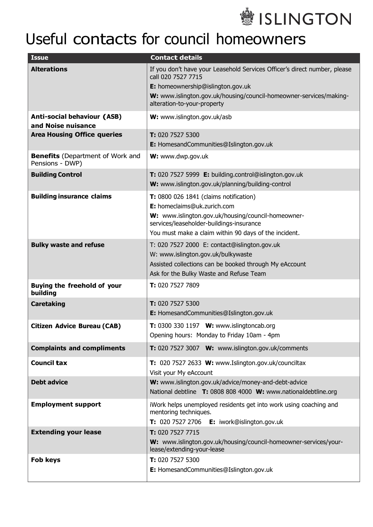

## Useful contacts for council homeowners

| <b>Issue</b>                                               | <b>Contact details</b>                                                                                                                                                                                                                    |
|------------------------------------------------------------|-------------------------------------------------------------------------------------------------------------------------------------------------------------------------------------------------------------------------------------------|
| <b>Alterations</b>                                         | If you don't have your Leasehold Services Officer's direct number, please<br>call 020 7527 7715<br>E: homeownership@islington.gov.uk<br>W: www.islington.gov.uk/housing/council-homeowner-services/making-<br>alteration-to-your-property |
| <b>Anti-social behaviour (ASB)</b><br>and Noise nuisance   | W: www.islington.gov.uk/asb                                                                                                                                                                                                               |
| <b>Area Housing Office queries</b>                         | T: 020 7527 5300<br>E: HomesandCommunities@Islington.gov.uk                                                                                                                                                                               |
| <b>Benefits</b> (Department of Work and<br>Pensions - DWP) | W: www.dwp.gov.uk                                                                                                                                                                                                                         |
| <b>Building Control</b>                                    | T: 020 7527 5999 E: building.control@islington.gov.uk<br>W: www.islington.gov.uk/planning/building-control                                                                                                                                |
| <b>Building insurance claims</b>                           | <b>T:</b> 0800 026 1841 (claims notification)<br>E: homeclaims@uk.zurich.com<br>W: www.islington.gov.uk/housing/council-homeowner-<br>services/leaseholder-buildings-insurance<br>You must make a claim within 90 days of the incident.   |
| <b>Bulky waste and refuse</b>                              | T: 020 7527 2000 E: contact@islington.gov.uk<br>W: www.islington.gov.uk/bulkywaste<br>Assisted collections can be booked through My eAccount<br>Ask for the Bulky Waste and Refuse Team                                                   |
| <b>Buying the freehold of your</b><br>building             | T: 020 7527 7809                                                                                                                                                                                                                          |
| <b>Caretaking</b>                                          | T: 020 7527 5300<br>E: HomesandCommunities@Islington.gov.uk                                                                                                                                                                               |
| <b>Citizen Advice Bureau (CAB)</b>                         | T: 0300 330 1197 W: www.islingtoncab.org<br>Opening hours: Monday to Friday 10am - 4pm                                                                                                                                                    |
| <b>Complaints and compliments</b>                          | T: 020 7527 3007 W: www.islington.gov.uk/comments                                                                                                                                                                                         |
| <b>Council tax</b>                                         | T: 020 7527 2633 W: www.Islington.gov.uk/counciltax<br>Visit your My eAccount                                                                                                                                                             |
| <b>Debt advice</b>                                         | W: www.islington.gov.uk/advice/money-and-debt-advice<br>National debtline T: 0808 808 4000 W: www.nationaldebtline.org                                                                                                                    |
| <b>Employment support</b><br><b>Extending your lease</b>   | iWork helps unemployed residents get into work using coaching and<br>mentoring techniques.<br>T: 020 7527 2706 E: iwork@islington.gov.uk<br>T: 020 7527 7715                                                                              |
|                                                            | W: www.islington.gov.uk/housing/council-homeowner-services/your-<br>lease/extending-your-lease                                                                                                                                            |
| <b>Fob keys</b>                                            | T: 020 7527 5300<br>E: HomesandCommunities@Islington.gov.uk                                                                                                                                                                               |